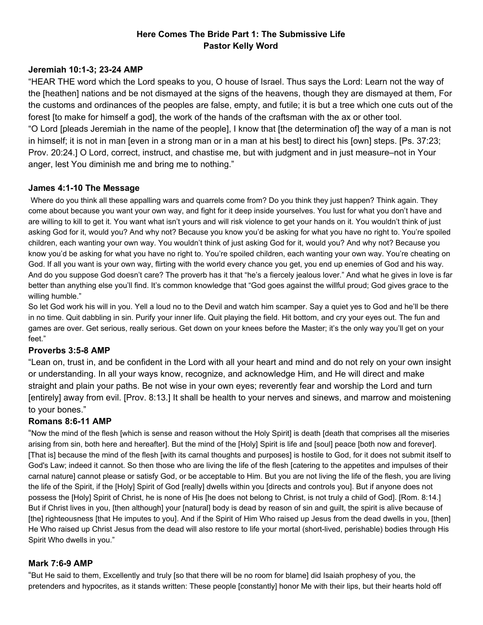# **Here Comes The Bride Part 1: The Submissive Life Pastor Kelly Word**

### **Jeremiah 10:13; 2324 AMP**

"HEAR THE word which the Lord speaks to you, O house of Israel. Thus says the Lord: Learn not the way of the [heathen] nations and be not dismayed at the signs of the heavens, though they are dismayed at them, For the customs and ordinances of the peoples are false, empty, and futile; it is but a tree which one cuts out of the forest [to make for himself a god], the work of the hands of the craftsman with the ax or other tool. "O Lord [pleads Jeremiah in the name of the people], I know that [the determination of] the way of a man is not in himself; it is not in man [even in a strong man or in a man at his best] to direct his [own] steps. [Ps. 37:23; Prov. 20:24.] O Lord, correct, instruct, and chastise me, but with judgment and in just measure–not in Your anger, lest You diminish me and bring me to nothing."

### **James 4:110 The Message**

Where do you think all these appalling wars and quarrels come from? Do you think they just happen? Think again. They come about because you want your own way, and fight for it deep inside yourselves. You lust for what you don't have and are willing to kill to get it. You want what isn't yours and will risk violence to get your hands on it. You wouldn't think of just asking God for it, would you? And why not? Because you know you'd be asking for what you have no right to. You're spoiled children, each wanting your own way. You wouldn't think of just asking God for it, would you? And why not? Because you know you'd be asking for what you have no right to. You're spoiled children, each wanting your own way. You're cheating on God. If all you want is your own way, flirting with the world every chance you get, you end up enemies of God and his way. And do you suppose God doesn't care? The proverb has it that "he's a fiercely jealous lover." And what he gives in love is far better than anything else you'll find. It's common knowledge that "God goes against the willful proud; God gives grace to the willing humble."

So let God work his will in you. Yell a loud no to the Devil and watch him scamper. Say a quiet yes to God and he'll be there in no time. Quit dabbling in sin. Purify your inner life. Quit playing the field. Hit bottom, and cry your eyes out. The fun and games are over. Get serious, really serious. Get down on your knees before the Master; it's the only way you'll get on your feet."

### **Proverbs 3:58 AMP**

"Lean on, trust in, and be confident in the Lord with all your heart and mind and do not rely on your own insight or understanding. In all your ways know, recognize, and acknowledge Him, and He will direct and make straight and plain your paths. Be not wise in your own eyes; reverently fear and worship the Lord and turn [entirely] away from evil. [Prov. 8:13.] It shall be health to your nerves and sinews, and marrow and moistening to your bones."

### **Romans 8:611 AMP**

"Now the mind of the flesh [which is sense and reason without the Holy Spirit] is death [death that comprises all the miseries arising from sin, both here and hereafter]. But the mind of the [Holy] Spirit is life and [soul] peace [both now and forever]. [That is] because the mind of the flesh [with its carnal thoughts and purposes] is hostile to God, for it does not submit itself to God's Law; indeed it cannot. So then those who are living the life of the flesh [catering to the appetites and impulses of their carnal nature] cannot please or satisfy God, or be acceptable to Him. But you are not living the life of the flesh, you are living the life of the Spirit, if the [Holy] Spirit of God [really] dwells within you [directs and controls you]. But if anyone does not possess the [Holy] Spirit of Christ, he is none of His [he does not belong to Christ, is not truly a child of God]. [Rom. 8:14.] But if Christ lives in you, [then although] your [natural] body is dead by reason of sin and guilt, the spirit is alive because of [the] righteousness [that He imputes to you]. And if the Spirit of Him Who raised up Jesus from the dead dwells in you, [then] He Who raised up Christ Jesus from the dead will also restore to life your mortal (short-lived, perishable) bodies through His Spirit Who dwells in you."

### **Mark 7:69 AMP**

"But He said to them, Excellently and truly [so that there will be no room for blame] did Isaiah prophesy of you, the pretenders and hypocrites, as it stands written: These people [constantly] honor Me with their lips, but their hearts hold off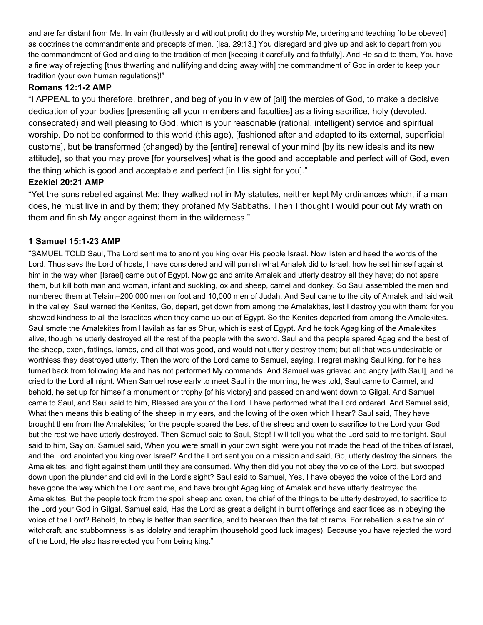and are far distant from Me. In vain (fruitlessly and without profit) do they worship Me, ordering and teaching [to be obeyed] as doctrines the commandments and precepts of men. [Isa. 29:13.] You disregard and give up and ask to depart from you the commandment of God and cling to the tradition of men [keeping it carefully and faithfully]. And He said to them, You have a fine way of rejecting [thus thwarting and nullifying and doing away with] the commandment of God in order to keep your tradition (your own human regulations)!"

### **Romans 12:12 AMP**

"I APPEAL to you therefore, brethren, and beg of you in view of [all] the mercies of God, to make a decisive dedication of your bodies [presenting all your members and faculties] as a living sacrifice, holy (devoted, consecrated) and well pleasing to God, which is your reasonable (rational, intelligent) service and spiritual worship. Do not be conformed to this world (this age), [fashioned after and adapted to its external, superficial customs], but be transformed (changed) by the [entire] renewal of your mind [by its new ideals and its new attitude], so that you may prove [for yourselves] what is the good and acceptable and perfect will of God, even the thing which is good and acceptable and perfect [in His sight for you]."

### **Ezekiel 20:21 AMP**

"Yet the sons rebelled against Me; they walked not in My statutes, neither kept My ordinances which, if a man does, he must live in and by them; they profaned My Sabbaths. Then I thought I would pour out My wrath on them and finish My anger against them in the wilderness."

### **1 Samuel 15:123 AMP**

"SAMUEL TOLD Saul, The Lord sent me to anoint you king over His people Israel. Now listen and heed the words of the Lord. Thus says the Lord of hosts, I have considered and will punish what Amalek did to Israel, how he set himself against him in the way when [Israel] came out of Egypt. Now go and smite Amalek and utterly destroy all they have; do not spare them, but kill both man and woman, infant and suckling, ox and sheep, camel and donkey. So Saul assembled the men and numbered them at Telaim–200,000 men on foot and 10,000 men of Judah. And Saul came to the city of Amalek and laid wait in the valley. Saul warned the Kenites, Go, depart, get down from among the Amalekites, lest I destroy you with them; for you showed kindness to all the Israelites when they came up out of Egypt. So the Kenites departed from among the Amalekites. Saul smote the Amalekites from Havilah as far as Shur, which is east of Egypt. And he took Agag king of the Amalekites alive, though he utterly destroyed all the rest of the people with the sword. Saul and the people spared Agag and the best of the sheep, oxen, fatlings, lambs, and all that was good, and would not utterly destroy them; but all that was undesirable or worthless they destroyed utterly. Then the word of the Lord came to Samuel, saying, I regret making Saul king, for he has turned back from following Me and has not performed My commands. And Samuel was grieved and angry [with Saul], and he cried to the Lord all night. When Samuel rose early to meet Saul in the morning, he was told, Saul came to Carmel, and behold, he set up for himself a monument or trophy [of his victory] and passed on and went down to Gilgal. And Samuel came to Saul, and Saul said to him, Blessed are you of the Lord. I have performed what the Lord ordered. And Samuel said, What then means this bleating of the sheep in my ears, and the lowing of the oxen which I hear? Saul said, They have brought them from the Amalekites; for the people spared the best of the sheep and oxen to sacrifice to the Lord your God, but the rest we have utterly destroyed. Then Samuel said to Saul, Stop! I will tell you what the Lord said to me tonight. Saul said to him, Say on. Samuel said, When you were small in your own sight, were you not made the head of the tribes of Israel, and the Lord anointed you king over Israel? And the Lord sent you on a mission and said, Go, utterly destroy the sinners, the Amalekites; and fight against them until they are consumed. Why then did you not obey the voice of the Lord, but swooped down upon the plunder and did evil in the Lord's sight? Saul said to Samuel, Yes, I have obeyed the voice of the Lord and have gone the way which the Lord sent me, and have brought Agag king of Amalek and have utterly destroyed the Amalekites. But the people took from the spoil sheep and oxen, the chief of the things to be utterly destroyed, to sacrifice to the Lord your God in Gilgal. Samuel said, Has the Lord as great a delight in burnt offerings and sacrifices as in obeying the voice of the Lord? Behold, to obey is better than sacrifice, and to hearken than the fat of rams. For rebellion is as the sin of witchcraft, and stubbornness is as idolatry and teraphim (household good luck images). Because you have rejected the word of the Lord, He also has rejected you from being king."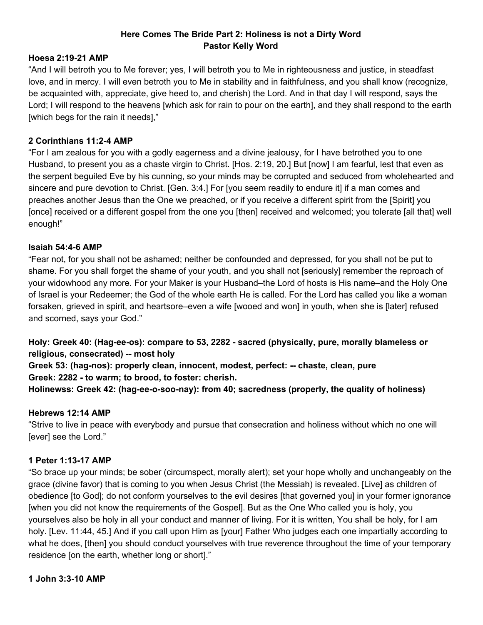## **Here Comes The Bride Part 2: Holiness is not a Dirty Word Pastor Kelly Word**

### **Hoesa 2:1921 AMP**

"And I will betroth you to Me forever; yes, I will betroth you to Me in righteousness and justice, in steadfast love, and in mercy. I will even betroth you to Me in stability and in faithfulness, and you shall know (recognize, be acquainted with, appreciate, give heed to, and cherish) the Lord. And in that day I will respond, says the Lord; I will respond to the heavens [which ask for rain to pour on the earth], and they shall respond to the earth [which begs for the rain it needs],"

### **2 Corinthians 11:24 AMP**

"For I am zealous for you with a godly eagerness and a divine jealousy, for I have betrothed you to one Husband, to present you as a chaste virgin to Christ. [Hos. 2:19, 20.] But [now] I am fearful, lest that even as the serpent beguiled Eve by his cunning, so your minds may be corrupted and seduced from wholehearted and sincere and pure devotion to Christ. [Gen. 3:4.] For [you seem readily to endure it] if a man comes and preaches another Jesus than the One we preached, or if you receive a different spirit from the [Spirit] you [once] received or a different gospel from the one you [then] received and welcomed; you tolerate [all that] well enough!"

### **Isaiah 54:46 AMP**

"Fear not, for you shall not be ashamed; neither be confounded and depressed, for you shall not be put to shame. For you shall forget the shame of your youth, and you shall not [seriously] remember the reproach of your widowhood any more. For your Maker is your Husband–the Lord of hosts is His name–and the Holy One of Israel is your Redeemer; the God of the whole earth He is called. For the Lord has called you like a woman forsaken, grieved in spirit, and heartsore–even a wife [wooed and won] in youth, when she is [later] refused and scorned, says your God."

**Holy: Greek 40: (Hageeos): compare to 53, 2282 sacred (physically, pure, morally blameless or religious, consecrated)** -- most holy **Greek 53: (hagnos): properly clean, innocent, modest, perfect: chaste, clean, pure Greek: 2282 to warm; to brood, to foster: cherish. Holinewss: Greek 42: (hageeosoonay): from 40; sacredness (properly, the quality of holiness)**

### **Hebrews 12:14 AMP**

"Strive to live in peace with everybody and pursue that consecration and holiness without which no one will [ever] see the Lord."

### **1 Peter 1:1317 AMP**

"So brace up your minds; be sober (circumspect, morally alert); set your hope wholly and unchangeably on the grace (divine favor) that is coming to you when Jesus Christ (the Messiah) is revealed. [Live] as children of obedience [to God]; do not conform yourselves to the evil desires [that governed you] in your former ignorance [when you did not know the requirements of the Gospel]. But as the One Who called you is holy, you yourselves also be holy in all your conduct and manner of living. For it is written, You shall be holy, for I am holy. [Lev. 11:44, 45.] And if you call upon Him as [your] Father Who judges each one impartially according to what he does, [then] you should conduct yourselves with true reverence throughout the time of your temporary residence [on the earth, whether long or short]."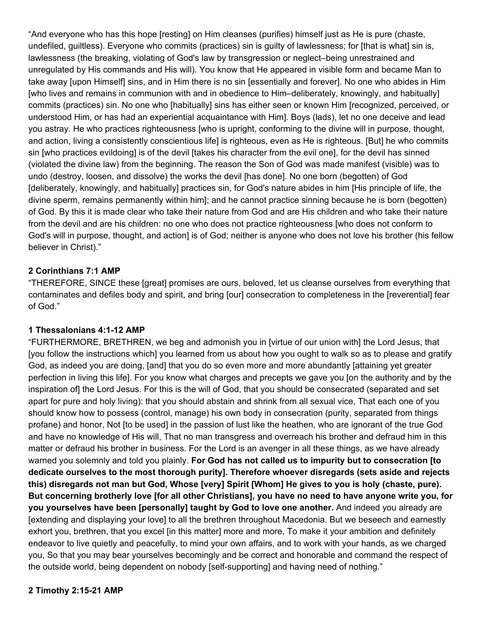"And everyone who has this hope [resting] on Him cleanses (purifies) himself just as He is pure (chaste, undefiled, guiltless). Everyone who commits (practices) sin is guilty of lawlessness; for [that is what] sin is, lawlessness (the breaking, violating of God's law by transgression or neglect–being unrestrained and unregulated by His commands and His will). You know that He appeared in visible form and became Man to take away [upon Himself] sins, and in Him there is no sin [essentially and forever]. No one who abides in Him [who lives and remains in communion with and in obedience to Him–deliberately, knowingly, and habitually] commits (practices) sin. No one who [habitually] sins has either seen or known Him [recognized, perceived, or understood Him, or has had an experiential acquaintance with Him]. Boys (lads), let no one deceive and lead you astray. He who practices righteousness [who is upright, conforming to the divine will in purpose, thought, and action, living a consistently conscientious life] is righteous, even as He is righteous. [But] he who commits sin [who practices evildoing] is of the devil [takes his character from the evil one], for the devil has sinned (violated the divine law) from the beginning. The reason the Son of God was made manifest (visible) was to undo (destroy, loosen, and dissolve) the works the devil [has done]. No one born (begotten) of God [deliberately, knowingly, and habitually] practices sin, for God's nature abides in him [His principle of life, the divine sperm, remains permanently within him]; and he cannot practice sinning because he is born (begotten) of God. By this it is made clear who take their nature from God and are His children and who take their nature from the devil and are his children: no one who does not practice righteousness [who does not conform to God's will in purpose, thought, and action] is of God; neither is anyone who does not love his brother (his fellow believer in Christ)."

### **2 Corinthians 7:1 AMP**

"THEREFORE, SINCE these [great] promises are ours, beloved, let us cleanse ourselves from everything that contaminates and defiles body and spirit, and bring [our] consecration to completeness in the [reverential] fear of God."

### **1 Thessalonians 4:112 AMP**

"FURTHERMORE, BRETHREN, we beg and admonish you in [virtue of our union with] the Lord Jesus, that [you follow the instructions which] you learned from us about how you ought to walk so as to please and gratify God, as indeed you are doing, [and] that you do so even more and more abundantly [attaining yet greater perfection in living this life]. For you know what charges and precepts we gave you [on the authority and by the inspiration of] the Lord Jesus. For this is the will of God, that you should be consecrated (separated and set apart for pure and holy living): that you should abstain and shrink from all sexual vice, That each one of you should know how to possess (control, manage) his own body in consecration (purity, separated from things profane) and honor, Not [to be used] in the passion of lust like the heathen, who are ignorant of the true God and have no knowledge of His will, That no man transgress and overreach his brother and defraud him in this matter or defraud his brother in business. For the Lord is an avenger in all these things, as we have already warned you solemnly and told you plainly. **For God has not called us to impurity but to consecration [to dedicate ourselves to the most thorough purity]. Therefore whoever disregards (sets aside and rejects** this) disregards not man but God, Whose [very] Spirit [Whom] He gives to you is holy (chaste, pure). But concerning brotherly love [for all other Christians], you have no need to have anyone write you, for **you yourselves have been [personally] taught by God to love one another.**And indeed you already are [extending and displaying your love] to all the brethren throughout Macedonia. But we beseech and earnestly exhort you, brethren, that you excel [in this matter] more and more, To make it your ambition and definitely endeavor to live quietly and peacefully, to mind your own affairs, and to work with your hands, as we charged you, So that you may bear yourselves becomingly and be correct and honorable and command the respect of the outside world, being dependent on nobody [self-supporting] and having need of nothing."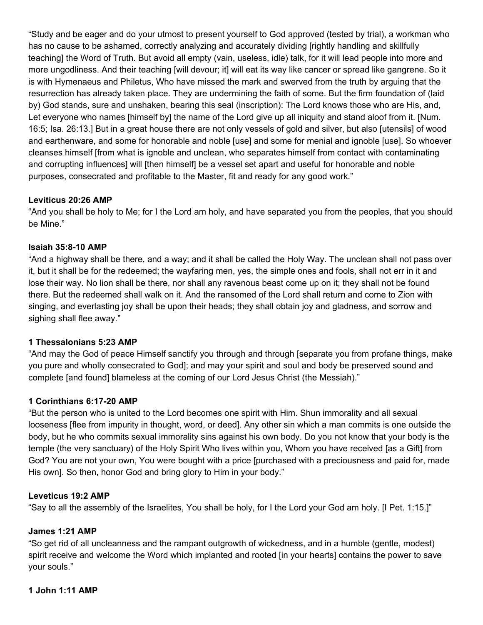"Study and be eager and do your utmost to present yourself to God approved (tested by trial), a workman who has no cause to be ashamed, correctly analyzing and accurately dividing [rightly handling and skillfully teaching] the Word of Truth. But avoid all empty (vain, useless, idle) talk, for it will lead people into more and more ungodliness. And their teaching [will devour; it] will eat its way like cancer or spread like gangrene. So it is with Hymenaeus and Philetus, Who have missed the mark and swerved from the truth by arguing that the resurrection has already taken place. They are undermining the faith of some. But the firm foundation of (laid by) God stands, sure and unshaken, bearing this seal (inscription): The Lord knows those who are His, and, Let everyone who names [himself by] the name of the Lord give up all iniquity and stand aloof from it. [Num. 16:5; Isa. 26:13.] But in a great house there are not only vessels of gold and silver, but also [utensils] of wood and earthenware, and some for honorable and noble [use] and some for menial and ignoble [use]. So whoever cleanses himself [from what is ignoble and unclean, who separates himself from contact with contaminating and corrupting influences] will [then himself] be a vessel set apart and useful for honorable and noble purposes, consecrated and profitable to the Master, fit and ready for any good work."

### **Leviticus 20:26 AMP**

"And you shall be holy to Me; for I the Lord am holy, and have separated you from the peoples, that you should be Mine."

### **Isaiah 35:810 AMP**

"And a highway shall be there, and a way; and it shall be called the Holy Way. The unclean shall not pass over it, but it shall be for the redeemed; the wayfaring men, yes, the simple ones and fools, shall not err in it and lose their way. No lion shall be there, nor shall any ravenous beast come up on it; they shall not be found there. But the redeemed shall walk on it. And the ransomed of the Lord shall return and come to Zion with singing, and everlasting joy shall be upon their heads; they shall obtain joy and gladness, and sorrow and sighing shall flee away."

### **1 Thessalonians 5:23 AMP**

"And may the God of peace Himself sanctify you through and through [separate you from profane things, make you pure and wholly consecrated to God]; and may your spirit and soul and body be preserved sound and complete [and found] blameless at the coming of our Lord Jesus Christ (the Messiah)."

### **1 Corinthians 6:1720 AMP**

"But the person who is united to the Lord becomes one spirit with Him. Shun immorality and all sexual looseness [flee from impurity in thought, word, or deed]. Any other sin which a man commits is one outside the body, but he who commits sexual immorality sins against his own body. Do you not know that your body is the temple (the very sanctuary) of the Holy Spirit Who lives within you, Whom you have received [as a Gift] from God? You are not your own, You were bought with a price [purchased with a preciousness and paid for, made His own]. So then, honor God and bring glory to Him in your body."

### **Leveticus 19:2 AMP**

"Say to all the assembly of the Israelites, You shall be holy, for I the Lord your God am holy. [I Pet. 1:15.]"

### **James 1:21 AMP**

"So get rid of all uncleanness and the rampant outgrowth of wickedness, and in a humble (gentle, modest) spirit receive and welcome the Word which implanted and rooted [in your hearts] contains the power to save your souls."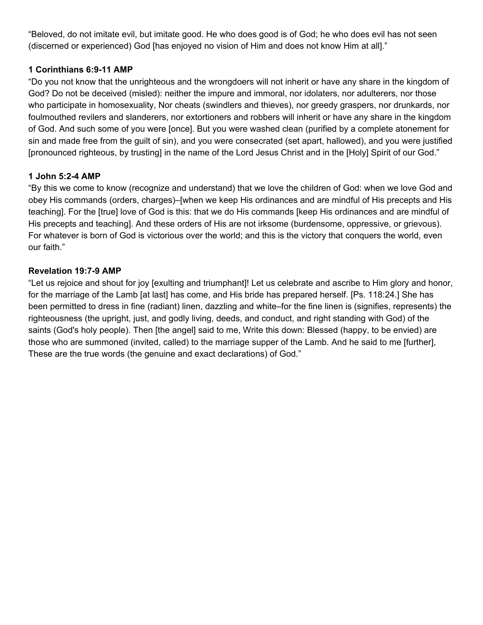"Beloved, do not imitate evil, but imitate good. He who does good is of God; he who does evil has not seen (discerned or experienced) God [has enjoyed no vision of Him and does not know Him at all]."

### **1 Corinthians 6:911 AMP**

"Do you not know that the unrighteous and the wrongdoers will not inherit or have any share in the kingdom of God? Do not be deceived (misled): neither the impure and immoral, nor idolaters, nor adulterers, nor those who participate in homosexuality, Nor cheats (swindlers and thieves), nor greedy graspers, nor drunkards, nor foulmouthed revilers and slanderers, nor extortioners and robbers will inherit or have any share in the kingdom of God. And such some of you were [once]. But you were washed clean (purified by a complete atonement for sin and made free from the guilt of sin), and you were consecrated (set apart, hallowed), and you were justified [pronounced righteous, by trusting] in the name of the Lord Jesus Christ and in the [Holy] Spirit of our God."

# **1 John 5:24 AMP**

"By this we come to know (recognize and understand) that we love the children of God: when we love God and obey His commands (orders, charges)–[when we keep His ordinances and are mindful of His precepts and His teaching]. For the [true] love of God is this: that we do His commands [keep His ordinances and are mindful of His precepts and teaching]. And these orders of His are not irksome (burdensome, oppressive, or grievous). For whatever is born of God is victorious over the world; and this is the victory that conquers the world, even our faith."

### **Revelation 19:79 AMP**

"Let us rejoice and shout for joy [exulting and triumphant]! Let us celebrate and ascribe to Him glory and honor, for the marriage of the Lamb [at last] has come, and His bride has prepared herself. [Ps. 118:24.] She has been permitted to dress in fine (radiant) linen, dazzling and white–for the fine linen is (signifies, represents) the righteousness (the upright, just, and godly living, deeds, and conduct, and right standing with God) of the saints (God's holy people). Then [the angel] said to me, Write this down: Blessed (happy, to be envied) are those who are summoned (invited, called) to the marriage supper of the Lamb. And he said to me [further], These are the true words (the genuine and exact declarations) of God."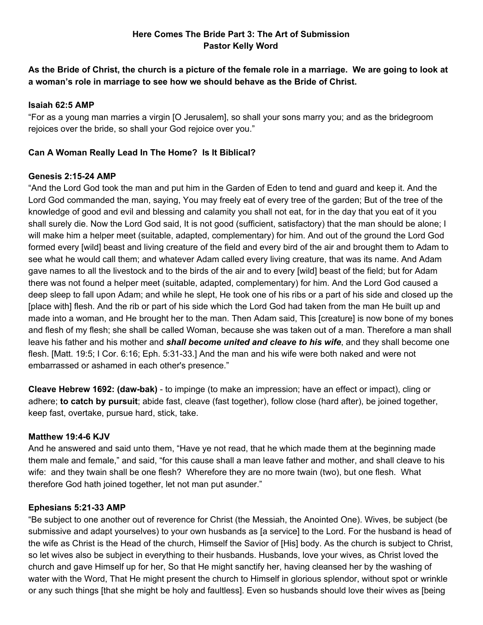### **Here Comes The Bride Part 3: The Art of Submission Pastor Kelly Word**

As the Bride of Christ, the church is a picture of the female role in a marriage. We are going to look at **a woman's role in marriage to see how we should behave as the Bride of Christ.**

### **Isaiah 62:5 AMP**

"For as a young man marries a virgin [O Jerusalem], so shall your sons marry you; and as the bridegroom rejoices over the bride, so shall your God rejoice over you."

# **Can A Woman Really Lead In The Home? Is It Biblical?**

### **Genesis 2:1524 AMP**

"And the Lord God took the man and put him in the Garden of Eden to tend and guard and keep it. And the Lord God commanded the man, saying, You may freely eat of every tree of the garden; But of the tree of the knowledge of good and evil and blessing and calamity you shall not eat, for in the day that you eat of it you shall surely die. Now the Lord God said, It is not good (sufficient, satisfactory) that the man should be alone; I will make him a helper meet (suitable, adapted, complementary) for him. And out of the ground the Lord God formed every [wild] beast and living creature of the field and every bird of the air and brought them to Adam to see what he would call them; and whatever Adam called every living creature, that was its name. And Adam gave names to all the livestock and to the birds of the air and to every [wild] beast of the field; but for Adam there was not found a helper meet (suitable, adapted, complementary) for him. And the Lord God caused a deep sleep to fall upon Adam; and while he slept, He took one of his ribs or a part of his side and closed up the [place with] flesh. And the rib or part of his side which the Lord God had taken from the man He built up and made into a woman, and He brought her to the man. Then Adam said, This [creature] is now bone of my bones and flesh of my flesh; she shall be called Woman, because she was taken out of a man. Therefore a man shall leave his father and his mother and *shall become united and cleave to his wife*,and they shall become one flesh. [Matt. 19:5; I Cor. 6:16; Eph. 5:31-33.] And the man and his wife were both naked and were not embarrassed or ashamed in each other's presence."

**Cleave Hebrew 1692: (daw-bak)** - to impinge (to make an impression; have an effect or impact), cling or adhere; **to catch by pursuit**; abide fast, cleave (fast together), follow close (hard after), be joined together, keep fast, overtake, pursue hard, stick, take.

### **Matthew 19:46 KJV**

And he answered and said unto them, "Have ye not read, that he which made them at the beginning made them male and female," and said, "for this cause shall a man leave father and mother, and shall cleave to his wife: and they twain shall be one flesh? Wherefore they are no more twain (two), but one flesh. What therefore God hath joined together, let not man put asunder."

### **Ephesians 5:21-33 AMP**

"Be subject to one another out of reverence for Christ (the Messiah, the Anointed One). Wives, be subject (be submissive and adapt yourselves) to your own husbands as [a service] to the Lord. For the husband is head of the wife as Christ is the Head of the church, Himself the Savior of [His] body. As the church is subject to Christ, so let wives also be subject in everything to their husbands. Husbands, love your wives, as Christ loved the church and gave Himself up for her, So that He might sanctify her, having cleansed her by the washing of water with the Word, That He might present the church to Himself in glorious splendor, without spot or wrinkle or any such things [that she might be holy and faultless]. Even so husbands should love their wives as [being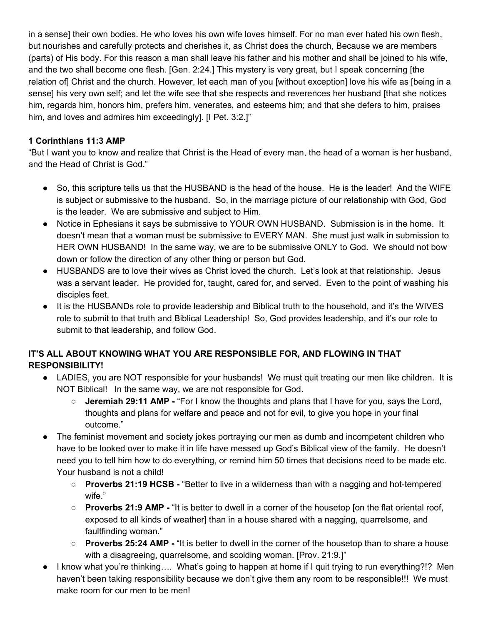in a sense] their own bodies. He who loves his own wife loves himself. For no man ever hated his own flesh, but nourishes and carefully protects and cherishes it, as Christ does the church, Because we are members (parts) of His body. For this reason a man shall leave his father and his mother and shall be joined to his wife, and the two shall become one flesh. [Gen. 2:24.] This mystery is very great, but I speak concerning [the relation of] Christ and the church. However, let each man of you [without exception] love his wife as [being in a sense] his very own self; and let the wife see that she respects and reverences her husband [that she notices him, regards him, honors him, prefers him, venerates, and esteems him; and that she defers to him, praises him, and loves and admires him exceedingly]. [I Pet. 3:2.]"

# **1 Corinthians 11:3 AMP**

"But I want you to know and realize that Christ is the Head of every man, the head of a woman is her husband, and the Head of Christ is God."

- So, this scripture tells us that the HUSBAND is the head of the house. He is the leader! And the WIFE is subject or submissive to the husband. So, in the marriage picture of our relationship with God, God is the leader. We are submissive and subject to Him.
- Notice in Ephesians it says be submissive to YOUR OWN HUSBAND. Submission is in the home. It doesn't mean that a woman must be submissive to EVERY MAN. She must just walk in submission to HER OWN HUSBAND! In the same way, we are to be submissive ONLY to God. We should not bow down or follow the direction of any other thing or person but God.
- HUSBANDS are to love their wives as Christ loved the church. Let's look at that relationship. Jesus was a servant leader. He provided for, taught, cared for, and served. Even to the point of washing his disciples feet.
- It is the HUSBANDs role to provide leadership and Biblical truth to the household, and it's the WIVES role to submit to that truth and Biblical Leadership! So, God provides leadership, and it's our role to submit to that leadership, and follow God.

# **IT'S ALL ABOUT KNOWING WHAT YOU ARE RESPONSIBLE FOR, AND FLOWING IN THAT RESPONSIBILITY!**

- LADIES, you are NOT responsible for your husbands! We must quit treating our men like children. It is NOT Biblical! In the same way, we are not responsible for God.
	- **○ Jeremiah 29:11 AMP** "For I know the thoughts and plans that I have for you, says the Lord, thoughts and plans for welfare and peace and not for evil, to give you hope in your final outcome."
- The feminist movement and society jokes portraying our men as dumb and incompetent children who have to be looked over to make it in life have messed up God's Biblical view of the family. He doesn't need you to tell him how to do everything, or remind him 50 times that decisions need to be made etc. Your husband is not a child!
	- **Proverbs 21:19 HCSB** "Better to live in a wilderness than with a nagging and hot-tempered wife."
	- **○ Proverbs 21:9 AMP** "It is better to dwell in a corner of the housetop [on the flat oriental roof, exposed to all kinds of weather] than in a house shared with a nagging, quarrelsome, and faultfinding woman."
	- **Proverbs 25:24 AMP** "It is better to dwell in the corner of the housetop than to share a house with a disagreeing, quarrelsome, and scolding woman. [Prov. 21:9.]"
- I know what you're thinking…. What's going to happen at home if I quit trying to run everything?!? Men haven't been taking responsibility because we don't give them any room to be responsible!!! We must make room for our men to be men!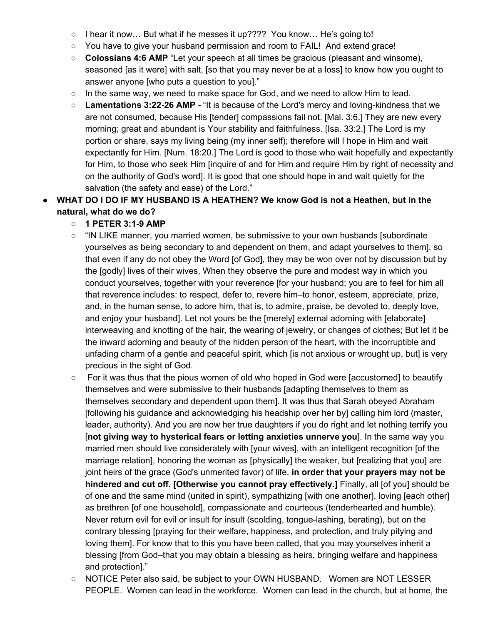- I hear it now… But what if he messes it up???? You know… He's going to!
- You have to give your husband permission and room to FAIL! And extend grace!
- **○ Colossians 4:6 AMP** "Let your speech at all times be gracious (pleasant and winsome), seasoned [as it were] with salt, [so that you may never be at a loss] to know how you ought to answer anyone [who puts a question to you]."
- $\circ$  In the same way, we need to make space for God, and we need to allow Him to lead.
- Lamentations 3:22-26 AMP "It is because of the Lord's mercy and loving-kindness that we are not consumed, because His [tender] compassions fail not. [Mal. 3:6.] They are new every morning; great and abundant is Your stability and faithfulness. [Isa. 33:2.] The Lord is my portion or share, says my living being (my inner self); therefore will I hope in Him and wait expectantly for Him. [Num. 18:20.] The Lord is good to those who wait hopefully and expectantly for Him, to those who seek Him [inquire of and for Him and require Him by right of necessity and on the authority of God's word]. It is good that one should hope in and wait quietly for the salvation (the safety and ease) of the Lord."
- WHAT DO I DO IF MY HUSBAND IS A HEATHEN? We know God is not a Heathen, but in the **natural, what do we do?**

# **○ 1 PETER 3:19 AMP**

- "IN LIKE manner, you married women, be submissive to your own husbands [subordinate yourselves as being secondary to and dependent on them, and adapt yourselves to them], so that even if any do not obey the Word [of God], they may be won over not by discussion but by the [godly] lives of their wives, When they observe the pure and modest way in which you conduct yourselves, together with your reverence [for your husband; you are to feel for him all that reverence includes: to respect, defer to, revere him–to honor, esteem, appreciate, prize, and, in the human sense, to adore him, that is, to admire, praise, be devoted to, deeply love, and enjoy your husband]. Let not yours be the [merely] external adorning with [elaborate] interweaving and knotting of the hair, the wearing of jewelry, or changes of clothes; But let it be the inward adorning and beauty of the hidden person of the heart, with the incorruptible and unfading charm of a gentle and peaceful spirit, which [is not anxious or wrought up, but] is very precious in the sight of God.
- For it was thus that the pious women of old who hoped in God were [accustomed] to beautify themselves and were submissive to their husbands [adapting themselves to them as themselves secondary and dependent upon them]. It was thus that Sarah obeyed Abraham [following his guidance and acknowledging his headship over her by] calling him lord (master, leader, authority). And you are now her true daughters if you do right and let nothing terrify you [**not giving way to hysterical fears or letting anxieties unnerve you**]. In the same way you married men should live considerately with [your wives], with an intelligent recognition [of the marriage relation], honoring the woman as [physically] the weaker, but [realizing that you] are joint heirs of the grace (God's unmerited favor) of life, **in order that your prayers may not be hindered and cut off. [Otherwise you cannot pray effectively.]**Finally, all [of you] should be of one and the same mind (united in spirit), sympathizing [with one another], loving [each other] as brethren [of one household], compassionate and courteous (tenderhearted and humble). Never return evil for evil or insult for insult (scolding, tongue-lashing, berating), but on the contrary blessing [praying for their welfare, happiness, and protection, and truly pitying and loving them]. For know that to this you have been called, that you may yourselves inherit a blessing [from God–that you may obtain a blessing as heirs, bringing welfare and happiness and protection]."
- NOTICE Peter also said, be subject to your OWN HUSBAND. Women are NOT LESSER PEOPLE. Women can lead in the workforce. Women can lead in the church, but at home, the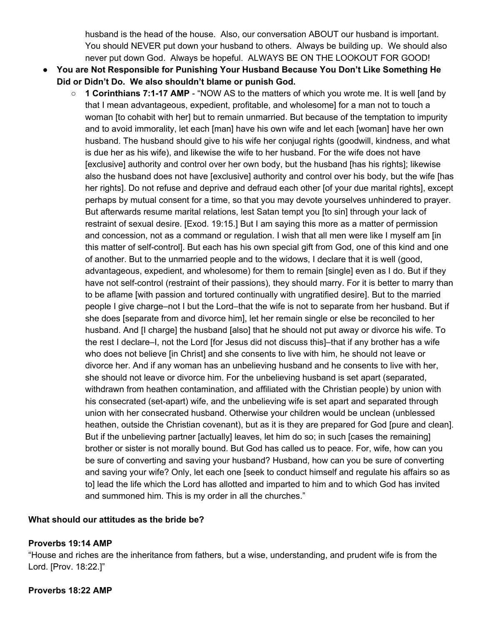husband is the head of the house. Also, our conversation ABOUT our husband is important. You should NEVER put down your husband to others. Always be building up. We should also never put down God. Always be hopeful. ALWAYS BE ON THE LOOKOUT FOR GOOD!

- **● You are Not Responsible for Punishing Your Husband Because You Don't Like Something He Did or Didn't Do. We also shouldn't blame or punish God.**
	- **○ 1 Corinthians 7:117 AMP** "NOW AS to the matters of which you wrote me. It is well [and by that I mean advantageous, expedient, profitable, and wholesome] for a man not to touch a woman [to cohabit with her] but to remain unmarried. But because of the temptation to impurity and to avoid immorality, let each [man] have his own wife and let each [woman] have her own husband. The husband should give to his wife her conjugal rights (goodwill, kindness, and what is due her as his wife), and likewise the wife to her husband. For the wife does not have [exclusive] authority and control over her own body, but the husband [has his rights]; likewise also the husband does not have [exclusive] authority and control over his body, but the wife [has her rights]. Do not refuse and deprive and defraud each other [of your due marital rights], except perhaps by mutual consent for a time, so that you may devote yourselves unhindered to prayer. But afterwards resume marital relations, lest Satan tempt you [to sin] through your lack of restraint of sexual desire. [Exod. 19:15.] But I am saying this more as a matter of permission and concession, not as a command or regulation. I wish that all men were like I myself am [in this matter of self-control]. But each has his own special gift from God, one of this kind and one of another. But to the unmarried people and to the widows, I declare that it is well (good, advantageous, expedient, and wholesome) for them to remain [single] even as I do. But if they have not self-control (restraint of their passions), they should marry. For it is better to marry than to be aflame [with passion and tortured continually with ungratified desire]. But to the married people I give charge–not I but the Lord–that the wife is not to separate from her husband. But if she does [separate from and divorce him], let her remain single or else be reconciled to her husband. And [I charge] the husband [also] that he should not put away or divorce his wife. To the rest I declare–I, not the Lord [for Jesus did not discuss this]–that if any brother has a wife who does not believe [in Christ] and she consents to live with him, he should not leave or divorce her. And if any woman has an unbelieving husband and he consents to live with her, she should not leave or divorce him. For the unbelieving husband is set apart (separated, withdrawn from heathen contamination, and affiliated with the Christian people) by union with his consecrated (set-apart) wife, and the unbelieving wife is set apart and separated through union with her consecrated husband. Otherwise your children would be unclean (unblessed heathen, outside the Christian covenant), but as it is they are prepared for God [pure and clean]. But if the unbelieving partner [actually] leaves, let him do so; in such [cases the remaining] brother or sister is not morally bound. But God has called us to peace. For, wife, how can you be sure of converting and saving your husband? Husband, how can you be sure of converting and saving your wife? Only, let each one [seek to conduct himself and regulate his affairs so as to] lead the life which the Lord has allotted and imparted to him and to which God has invited and summoned him. This is my order in all the churches."

### **What should our attitudes as the bride be?**

### **Proverbs 19:14 AMP**

"House and riches are the inheritance from fathers, but a wise, understanding, and prudent wife is from the Lord. [Prov. 18:22.]"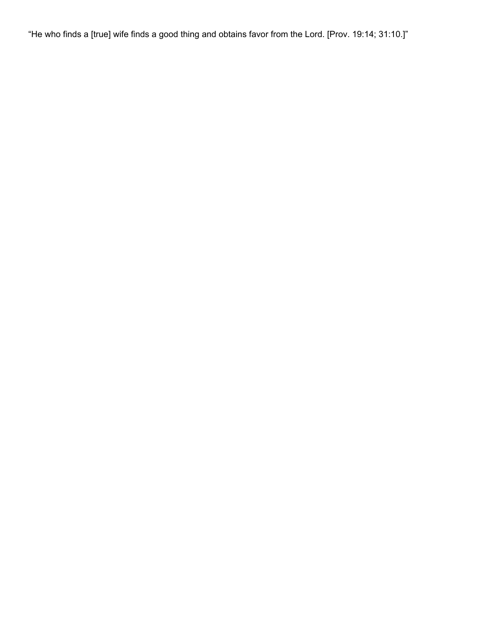"He who finds a [true] wife finds a good thing and obtains favor from the Lord. [Prov. 19:14; 31:10.]"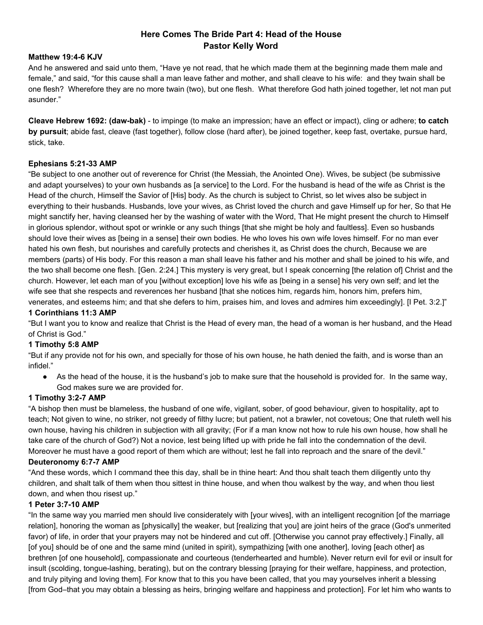### **Here Comes The Bride Part 4: Head of the House Pastor Kelly Word**

#### **Matthew 19:46 KJV**

And he answered and said unto them, "Have ye not read, that he which made them at the beginning made them male and female," and said, "for this cause shall a man leave father and mother, and shall cleave to his wife: and they twain shall be one flesh? Wherefore they are no more twain (two), but one flesh. What therefore God hath joined together, let not man put asunder."

**Cleave Hebrew 1692: (dawbak)** to impinge (to make an impression; have an effect or impact), cling or adhere; **to catch by pursuit**; abide fast, cleave (fast together), follow close (hard after), be joined together, keep fast, overtake, pursue hard, stick, take.

#### **Ephesians 5:21-33 AMP**

"Be subject to one another out of reverence for Christ (the Messiah, the Anointed One). Wives, be subject (be submissive and adapt yourselves) to your own husbands as [a service] to the Lord. For the husband is head of the wife as Christ is the Head of the church, Himself the Savior of [His] body. As the church is subject to Christ, so let wives also be subject in everything to their husbands. Husbands, love your wives, as Christ loved the church and gave Himself up for her, So that He might sanctify her, having cleansed her by the washing of water with the Word, That He might present the church to Himself in glorious splendor, without spot or wrinkle or any such things [that she might be holy and faultless]. Even so husbands should love their wives as [being in a sense] their own bodies. He who loves his own wife loves himself. For no man ever hated his own flesh, but nourishes and carefully protects and cherishes it, as Christ does the church, Because we are members (parts) of His body. For this reason a man shall leave his father and his mother and shall be joined to his wife, and the two shall become one flesh. [Gen. 2:24.] This mystery is very great, but I speak concerning [the relation of] Christ and the church. However, let each man of you [without exception] love his wife as [being in a sense] his very own self; and let the wife see that she respects and reverences her husband [that she notices him, regards him, honors him, prefers him, venerates, and esteems him; and that she defers to him, praises him, and loves and admires him exceedingly]. [I Pet. 3:2.]"

#### **1 Corinthians 11:3 AMP**

"But I want you to know and realize that Christ is the Head of every man, the head of a woman is her husband, and the Head of Christ is God."

#### **1 Timothy 5:8 AMP**

"But if any provide not for his own, and specially for those of his own house, he hath denied the faith, and is worse than an infidel."

● As the head of the house, it is the husband's job to make sure that the household is provided for. In the same way, God makes sure we are provided for.

#### **1 Timothy 3:27 AMP**

"A bishop then must be blameless, the husband of one wife, vigilant, sober, of good behaviour, given to hospitality, apt to teach; Not given to wine, no striker, not greedy of filthy lucre; but patient, not a brawler, not covetous; One that ruleth well his own house, having his children in subjection with all gravity; (For if a man know not how to rule his own house, how shall he take care of the church of God?) Not a novice, lest being lifted up with pride he fall into the condemnation of the devil. Moreover he must have a good report of them which are without; lest he fall into reproach and the snare of the devil."

#### **Deuteronomy 6:7-7 AMP**

"And these words, which I command thee this day, shall be in thine heart: And thou shalt teach them diligently unto thy children, and shalt talk of them when thou sittest in thine house, and when thou walkest by the way, and when thou liest down, and when thou risest up."

#### **1 Peter 3:710 AMP**

"In the same way you married men should live considerately with [your wives], with an intelligent recognition [of the marriage relation], honoring the woman as [physically] the weaker, but [realizing that you] are joint heirs of the grace (God's unmerited favor) of life, in order that your prayers may not be hindered and cut off. [Otherwise you cannot pray effectively.] Finally, all [of you] should be of one and the same mind (united in spirit), sympathizing [with one another], loving [each other] as brethren [of one household], compassionate and courteous (tenderhearted and humble). Never return evil for evil or insult for insult (scolding, tongue-lashing, berating), but on the contrary blessing [praying for their welfare, happiness, and protection, and truly pitying and loving them]. For know that to this you have been called, that you may yourselves inherit a blessing [from God–that you may obtain a blessing as heirs, bringing welfare and happiness and protection]. For let him who wants to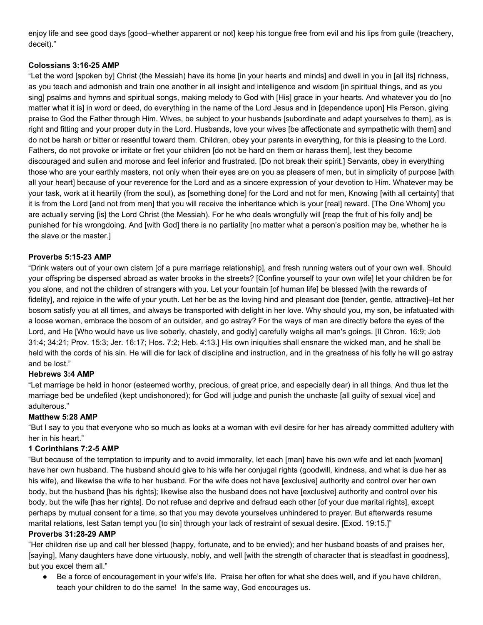enjoy life and see good days [good–whether apparent or not] keep his tongue free from evil and his lips from guile (treachery, deceit)."

#### **Colossians 3:1625 AMP**

"Let the word [spoken by] Christ (the Messiah) have its home [in your hearts and minds] and dwell in you in [all its] richness, as you teach and admonish and train one another in all insight and intelligence and wisdom [in spiritual things, and as you sing] psalms and hymns and spiritual songs, making melody to God with [His] grace in your hearts. And whatever you do [no matter what it is] in word or deed, do everything in the name of the Lord Jesus and in [dependence upon] His Person, giving praise to God the Father through Him. Wives, be subject to your husbands [subordinate and adapt yourselves to them], as is right and fitting and your proper duty in the Lord. Husbands, love your wives [be affectionate and sympathetic with them] and do not be harsh or bitter or resentful toward them. Children, obey your parents in everything, for this is pleasing to the Lord. Fathers, do not provoke or irritate or fret your children [do not be hard on them or harass them], lest they become discouraged and sullen and morose and feel inferior and frustrated. [Do not break their spirit.] Servants, obey in everything those who are your earthly masters, not only when their eyes are on you as pleasers of men, but in simplicity of purpose [with all your heart] because of your reverence for the Lord and as a sincere expression of your devotion to Him. Whatever may be your task, work at it heartily (from the soul), as [something done] for the Lord and not for men, Knowing [with all certainty] that it is from the Lord [and not from men] that you will receive the inheritance which is your [real] reward. [The One Whom] you are actually serving [is] the Lord Christ (the Messiah). For he who deals wrongfully will [reap the fruit of his folly and] be punished for his wrongdoing. And [with God] there is no partiality [no matter what a person's position may be, whether he is the slave or the master.]

#### **Proverbs 5:1523 AMP**

"Drink waters out of your own cistern [of a pure marriage relationship], and fresh running waters out of your own well. Should your offspring be dispersed abroad as water brooks in the streets? [Confine yourself to your own wife] let your children be for you alone, and not the children of strangers with you. Let your fountain [of human life] be blessed [with the rewards of fidelity], and rejoice in the wife of your youth. Let her be as the loving hind and pleasant doe [tender, gentle, attractive]–let her bosom satisfy you at all times, and always be transported with delight in her love. Why should you, my son, be infatuated with a loose woman, embrace the bosom of an outsider, and go astray? For the ways of man are directly before the eyes of the Lord, and He [Who would have us live soberly, chastely, and godly] carefully weighs all man's goings. [II Chron. 16:9; Job 31:4; 34:21; Prov. 15:3; Jer. 16:17; Hos. 7:2; Heb. 4:13.] His own iniquities shall ensnare the wicked man, and he shall be held with the cords of his sin. He will die for lack of discipline and instruction, and in the greatness of his folly he will go astray and be lost."

#### **Hebrews 3:4 AMP**

"Let marriage be held in honor (esteemed worthy, precious, of great price, and especially dear) in all things. And thus let the marriage bed be undefiled (kept undishonored); for God will judge and punish the unchaste [all guilty of sexual vice] and adulterous."

#### **Matthew 5:28 AMP**

"But I say to you that everyone who so much as looks at a woman with evil desire for her has already committed adultery with her in his heart."

#### **1 Corinthians 7:25 AMP**

"But because of the temptation to impurity and to avoid immorality, let each [man] have his own wife and let each [woman] have her own husband. The husband should give to his wife her conjugal rights (goodwill, kindness, and what is due her as his wife), and likewise the wife to her husband. For the wife does not have [exclusive] authority and control over her own body, but the husband [has his rights]; likewise also the husband does not have [exclusive] authority and control over his body, but the wife [has her rights]. Do not refuse and deprive and defraud each other [of your due marital rights], except perhaps by mutual consent for a time, so that you may devote yourselves unhindered to prayer. But afterwards resume marital relations, lest Satan tempt you [to sin] through your lack of restraint of sexual desire. [Exod. 19:15.]"

#### **Proverbs 31:2829 AMP**

"Her children rise up and call her blessed (happy, fortunate, and to be envied); and her husband boasts of and praises her, [saying], Many daughters have done virtuously, nobly, and well [with the strength of character that is steadfast in goodness], but you excel them all."

● Be a force of encouragement in your wife's life. Praise her often for what she does well, and if you have children, teach your children to do the same! In the same way, God encourages us.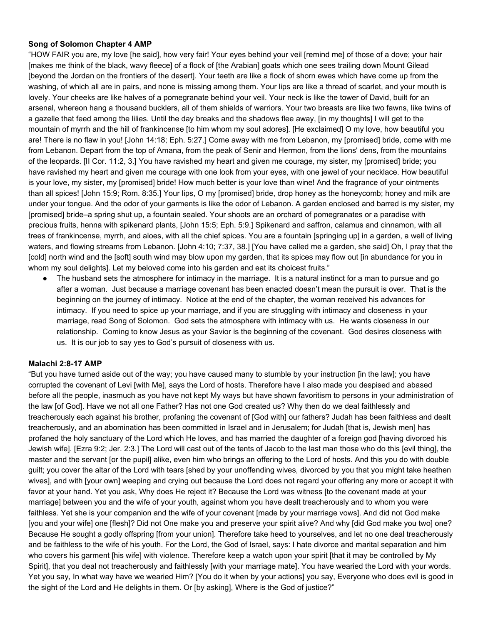#### **Song of Solomon Chapter 4 AMP**

"HOW FAIR you are, my love [he said], how very fair! Your eyes behind your veil [remind me] of those of a dove; your hair [makes me think of the black, wavy fleece] of a flock of [the Arabian] goats which one sees trailing down Mount Gilead [beyond the Jordan on the frontiers of the desert]. Your teeth are like a flock of shorn ewes which have come up from the washing, of which all are in pairs, and none is missing among them. Your lips are like a thread of scarlet, and your mouth is lovely. Your cheeks are like halves of a pomegranate behind your veil. Your neck is like the tower of David, built for an arsenal, whereon hang a thousand bucklers, all of them shields of warriors. Your two breasts are like two fawns, like twins of a gazelle that feed among the lilies. Until the day breaks and the shadows flee away, [in my thoughts] I will get to the mountain of myrrh and the hill of frankincense [to him whom my soul adores]. [He exclaimed] O my love, how beautiful you are! There is no flaw in you! [John 14:18; Eph. 5:27.] Come away with me from Lebanon, my [promised] bride, come with me from Lebanon. Depart from the top of Amana, from the peak of Senir and Hermon, from the lions' dens, from the mountains of the leopards. [II Cor. 11:2, 3.] You have ravished my heart and given me courage, my sister, my [promised] bride; you have ravished my heart and given me courage with one look from your eyes, with one jewel of your necklace. How beautiful is your love, my sister, my [promised] bride! How much better is your love than wine! And the fragrance of your ointments than all spices! [John 15:9; Rom. 8:35.] Your lips, O my [promised] bride, drop honey as the honeycomb; honey and milk are under your tongue. And the odor of your garments is like the odor of Lebanon. A garden enclosed and barred is my sister, my [promised] bride–a spring shut up, a fountain sealed. Your shoots are an orchard of pomegranates or a paradise with precious fruits, henna with spikenard plants, [John 15:5; Eph. 5:9.] Spikenard and saffron, calamus and cinnamon, with all trees of frankincense, myrrh, and aloes, with all the chief spices. You are a fountain [springing up] in a garden, a well of living waters, and flowing streams from Lebanon. [John 4:10; 7:37, 38.] [You have called me a garden, she said] Oh, I pray that the [cold] north wind and the [soft] south wind may blow upon my garden, that its spices may flow out [in abundance for you in whom my soul delights]. Let my beloved come into his garden and eat its choicest fruits."

The husband sets the atmosphere for intimacy in the marriage. It is a natural instinct for a man to pursue and go after a woman. Just because a marriage covenant has been enacted doesn't mean the pursuit is over. That is the beginning on the journey of intimacy. Notice at the end of the chapter, the woman received his advances for intimacy. If you need to spice up your marriage, and if you are struggling with intimacy and closeness in your marriage, read Song of Solomon. God sets the atmosphere with intimacy with us. He wants closeness in our relationship. Coming to know Jesus as your Savior is the beginning of the covenant. God desires closeness with us. It is our job to say yes to God's pursuit of closeness with us.

#### **Malachi 2:817 AMP**

"But you have turned aside out of the way; you have caused many to stumble by your instruction [in the law]; you have corrupted the covenant of Levi [with Me], says the Lord of hosts. Therefore have I also made you despised and abased before all the people, inasmuch as you have not kept My ways but have shown favoritism to persons in your administration of the law [of God]. Have we not all one Father? Has not one God created us? Why then do we deal faithlessly and treacherously each against his brother, profaning the covenant of [God with] our fathers? Judah has been faithless and dealt treacherously, and an abomination has been committed in Israel and in Jerusalem; for Judah [that is, Jewish men] has profaned the holy sanctuary of the Lord which He loves, and has married the daughter of a foreign god [having divorced his Jewish wife]. [Ezra 9:2; Jer. 2:3.] The Lord will cast out of the tents of Jacob to the last man those who do this [evil thing], the master and the servant [or the pupil] alike, even him who brings an offering to the Lord of hosts. And this you do with double guilt; you cover the altar of the Lord with tears [shed by your unoffending wives, divorced by you that you might take heathen wives], and with [your own] weeping and crying out because the Lord does not regard your offering any more or accept it with favor at your hand. Yet you ask, Why does He reject it? Because the Lord was witness [to the covenant made at your marriage] between you and the wife of your youth, against whom you have dealt treacherously and to whom you were faithless. Yet she is your companion and the wife of your covenant [made by your marriage vows]. And did not God make [you and your wife] one [flesh]? Did not One make you and preserve your spirit alive? And why [did God make you two] one? Because He sought a godly offspring [from your union]. Therefore take heed to yourselves, and let no one deal treacherously and be faithless to the wife of his youth. For the Lord, the God of Israel, says: I hate divorce and marital separation and him who covers his garment [his wife] with violence. Therefore keep a watch upon your spirit [that it may be controlled by My Spirit], that you deal not treacherously and faithlessly [with your marriage mate]. You have wearied the Lord with your words. Yet you say, In what way have we wearied Him? [You do it when by your actions] you say, Everyone who does evil is good in the sight of the Lord and He delights in them. Or [by asking], Where is the God of justice?"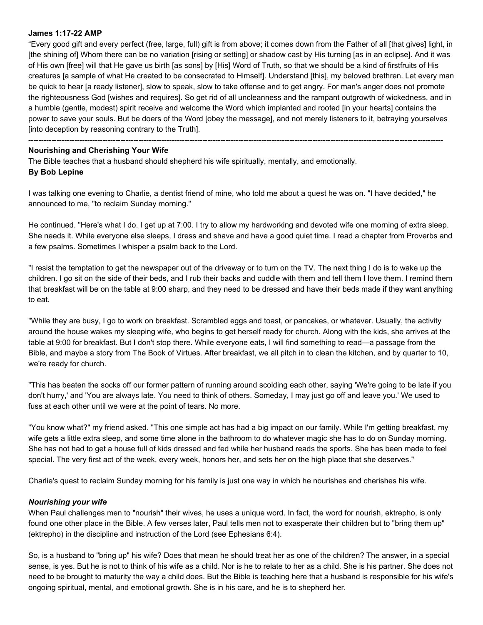#### **James 1:1722 AMP**

"Every good gift and every perfect (free, large, full) gift is from above; it comes down from the Father of all [that gives] light, in [the shining of] Whom there can be no variation [rising or setting] or shadow cast by His turning [as in an eclipse]. And it was of His own [free] will that He gave us birth [as sons] by [His] Word of Truth, so that we should be a kind of firstfruits of His creatures [a sample of what He created to be consecrated to Himself]. Understand [this], my beloved brethren. Let every man be quick to hear [a ready listener], slow to speak, slow to take offense and to get angry. For man's anger does not promote the righteousness God [wishes and requires]. So get rid of all uncleanness and the rampant outgrowth of wickedness, and in a humble (gentle, modest) spirit receive and welcome the Word which implanted and rooted [in your hearts] contains the power to save your souls. But be doers of the Word [obey the message], and not merely listeners to it, betraying yourselves [into deception by reasoning contrary to the Truth].

#### **Nourishing and Cherishing Your Wife**

The Bible teaches that a husband should shepherd his wife spiritually, mentally, and emotionally. **By Bob Lepine**

I was talking one evening to Charlie, a dentist friend of mine, who told me about a quest he was on. "I have decided," he announced to me, "to reclaim Sunday morning."

He continued. "Here's what I do. I get up at 7:00. I try to allow my hardworking and devoted wife one morning of extra sleep. She needs it. While everyone else sleeps, I dress and shave and have a good quiet time. I read a chapter from Proverbs and a few psalms. Sometimes I whisper a psalm back to the Lord.

"I resist the temptation to get the newspaper out of the driveway or to turn on the TV. The next thing I do is to wake up the children. I go sit on the side of their beds, and I rub their backs and cuddle with them and tell them I love them. I remind them that breakfast will be on the table at 9:00 sharp, and they need to be dressed and have their beds made if they want anything to eat.

"While they are busy, I go to work on breakfast. Scrambled eggs and toast, or pancakes, or whatever. Usually, the activity around the house wakes my sleeping wife, who begins to get herself ready for church. Along with the kids, she arrives at the table at 9:00 for breakfast. But I don't stop there. While everyone eats, I will find something to read—a passage from the Bible, and maybe a story from The Book of Virtues. After breakfast, we all pitch in to clean the kitchen, and by quarter to 10, we're ready for church.

"This has beaten the socks off our former pattern of running around scolding each other, saying 'We're going to be late if you don't hurry,' and 'You are always late. You need to think of others. Someday, I may just go off and leave you.' We used to fuss at each other until we were at the point of tears. No more.

"You know what?" my friend asked. "This one simple act has had a big impact on our family. While I'm getting breakfast, my wife gets a little extra sleep, and some time alone in the bathroom to do whatever magic she has to do on Sunday morning. She has not had to get a house full of kids dressed and fed while her husband reads the sports. She has been made to feel special. The very first act of the week, every week, honors her, and sets her on the high place that she deserves."

Charlie's quest to reclaim Sunday morning for his family is just one way in which he nourishes and cherishes his wife.

#### *Nourishing your wife*

When Paul challenges men to "nourish" their wives, he uses a unique word. In fact, the word for nourish, ektrepho, is only found one other place in the Bible. A few verses later, Paul tells men not to exasperate their children but to "bring them up" (ektrepho) in the discipline and instruction of the Lord (see Ephesians 6:4).

So, is a husband to "bring up" his wife? Does that mean he should treat her as one of the children? The answer, in a special sense, is yes. But he is not to think of his wife as a child. Nor is he to relate to her as a child. She is his partner. She does not need to be brought to maturity the way a child does. But the Bible is teaching here that a husband is responsible for his wife's ongoing spiritual, mental, and emotional growth. She is in his care, and he is to shepherd her.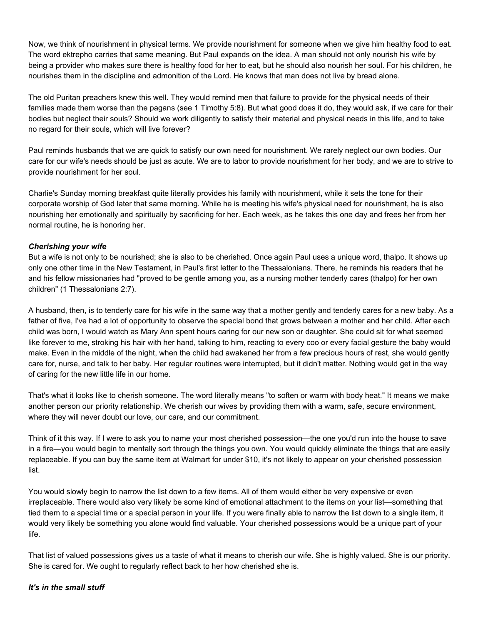Now, we think of nourishment in physical terms. We provide nourishment for someone when we give him healthy food to eat. The word ektrepho carries that same meaning. But Paul expands on the idea. A man should not only nourish his wife by being a provider who makes sure there is healthy food for her to eat, but he should also nourish her soul. For his children, he nourishes them in the discipline and admonition of the Lord. He knows that man does not live by bread alone.

The old Puritan preachers knew this well. They would remind men that failure to provide for the physical needs of their families made them worse than the pagans (see 1 Timothy 5:8). But what good does it do, they would ask, if we care for their bodies but neglect their souls? Should we work diligently to satisfy their material and physical needs in this life, and to take no regard for their souls, which will live forever?

Paul reminds husbands that we are quick to satisfy our own need for nourishment. We rarely neglect our own bodies. Our care for our wife's needs should be just as acute. We are to labor to provide nourishment for her body, and we are to strive to provide nourishment for her soul.

Charlie's Sunday morning breakfast quite literally provides his family with nourishment, while it sets the tone for their corporate worship of God later that same morning. While he is meeting his wife's physical need for nourishment, he is also nourishing her emotionally and spiritually by sacrificing for her. Each week, as he takes this one day and frees her from her normal routine, he is honoring her.

#### *Cherishing your wife*

But a wife is not only to be nourished; she is also to be cherished. Once again Paul uses a unique word, thalpo. It shows up only one other time in the New Testament, in Paul's first letter to the Thessalonians. There, he reminds his readers that he and his fellow missionaries had "proved to be gentle among you, as a nursing mother tenderly cares (thalpo) for her own children" (1 Thessalonians 2:7).

A husband, then, is to tenderly care for his wife in the same way that a mother gently and tenderly cares for a new baby. As a father of five, I've had a lot of opportunity to observe the special bond that grows between a mother and her child. After each child was born, I would watch as Mary Ann spent hours caring for our new son or daughter. She could sit for what seemed like forever to me, stroking his hair with her hand, talking to him, reacting to every coo or every facial gesture the baby would make. Even in the middle of the night, when the child had awakened her from a few precious hours of rest, she would gently care for, nurse, and talk to her baby. Her regular routines were interrupted, but it didn't matter. Nothing would get in the way of caring for the new little life in our home.

That's what it looks like to cherish someone. The word literally means "to soften or warm with body heat." It means we make another person our priority relationship. We cherish our wives by providing them with a warm, safe, secure environment, where they will never doubt our love, our care, and our commitment.

Think of it this way. If I were to ask you to name your most cherished possession—the one you'd run into the house to save in a fire—you would begin to mentally sort through the things you own. You would quickly eliminate the things that are easily replaceable. If you can buy the same item at Walmart for under \$10, it's not likely to appear on your cherished possession list.

You would slowly begin to narrow the list down to a few items. All of them would either be very expensive or even irreplaceable. There would also very likely be some kind of emotional attachment to the items on your list—something that tied them to a special time or a special person in your life. If you were finally able to narrow the list down to a single item, it would very likely be something you alone would find valuable. Your cherished possessions would be a unique part of your life.

That list of valued possessions gives us a taste of what it means to cherish our wife. She is highly valued. She is our priority. She is cared for. We ought to regularly reflect back to her how cherished she is.

#### *It's in the small stuff*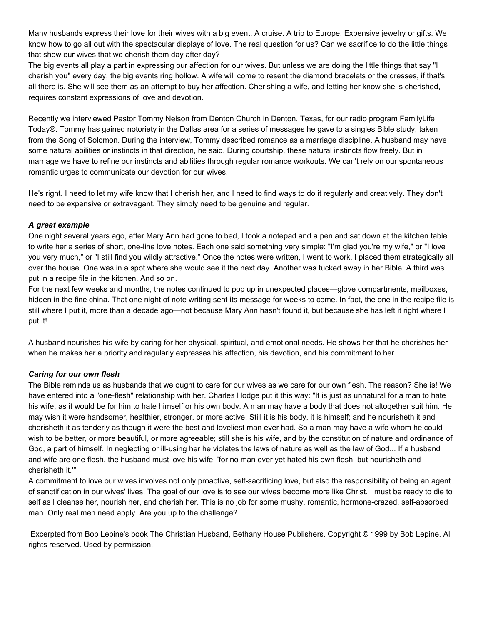Many husbands express their love for their wives with a big event. A cruise. A trip to Europe. Expensive jewelry or gifts. We know how to go all out with the spectacular displays of love. The real question for us? Can we sacrifice to do the little things that show our wives that we cherish them day after day?

The big events all play a part in expressing our affection for our wives. But unless we are doing the little things that say "I cherish you" every day, the big events ring hollow. A wife will come to resent the diamond bracelets or the dresses, if that's all there is. She will see them as an attempt to buy her affection. Cherishing a wife, and letting her know she is cherished, requires constant expressions of love and devotion.

Recently we interviewed Pastor Tommy Nelson from Denton Church in Denton, Texas, for our radio program FamilyLife Today®. Tommy has gained notoriety in the Dallas area for a series of messages he gave to a singles Bible study, taken from the Song of Solomon. During the interview, Tommy described romance as a marriage discipline. A husband may have some natural abilities or instincts in that direction, he said. During courtship, these natural instincts flow freely. But in marriage we have to refine our instincts and abilities through regular romance workouts. We can't rely on our spontaneous romantic urges to communicate our devotion for our wives.

He's right. I need to let my wife know that I cherish her, and I need to find ways to do it regularly and creatively. They don't need to be expensive or extravagant. They simply need to be genuine and regular.

#### *A great example*

One night several years ago, after Mary Ann had gone to bed, I took a notepad and a pen and sat down at the kitchen table to write her a series of short, one-line love notes. Each one said something very simple: "I'm glad you're my wife," or "I love you very much," or "I still find you wildly attractive." Once the notes were written, I went to work. I placed them strategically all over the house. One was in a spot where she would see it the next day. Another was tucked away in her Bible. A third was put in a recipe file in the kitchen. And so on.

For the next few weeks and months, the notes continued to pop up in unexpected places—glove compartments, mailboxes, hidden in the fine china. That one night of note writing sent its message for weeks to come. In fact, the one in the recipe file is still where I put it, more than a decade ago—not because Mary Ann hasn't found it, but because she has left it right where I put it!

A husband nourishes his wife by caring for her physical, spiritual, and emotional needs. He shows her that he cherishes her when he makes her a priority and regularly expresses his affection, his devotion, and his commitment to her.

#### *Caring for our own flesh*

The Bible reminds us as husbands that we ought to care for our wives as we care for our own flesh. The reason? She is! We have entered into a "one-flesh" relationship with her. Charles Hodge put it this way: "It is just as unnatural for a man to hate his wife, as it would be for him to hate himself or his own body. A man may have a body that does not altogether suit him. He may wish it were handsomer, healthier, stronger, or more active. Still it is his body, it is himself; and he nourisheth it and cherisheth it as tenderly as though it were the best and loveliest man ever had. So a man may have a wife whom he could wish to be better, or more beautiful, or more agreeable; still she is his wife, and by the constitution of nature and ordinance of God, a part of himself. In neglecting or ill-using her he violates the laws of nature as well as the law of God... If a husband and wife are one flesh, the husband must love his wife, 'for no man ever yet hated his own flesh, but nourisheth and cherisheth it.'"

A commitment to love our wives involves not only proactive, self-sacrificing love, but also the responsibility of being an agent of sanctification in our wives' lives. The goal of our love is to see our wives become more like Christ. I must be ready to die to self as I cleanse her, nourish her, and cherish her. This is no job for some mushy, romantic, hormone-crazed, self-absorbed man. Only real men need apply. Are you up to the challenge?

Excerpted from Bob Lepine's book The Christian Husband, Bethany House Publishers. Copyright © 1999 by Bob Lepine. All rights reserved. Used by permission.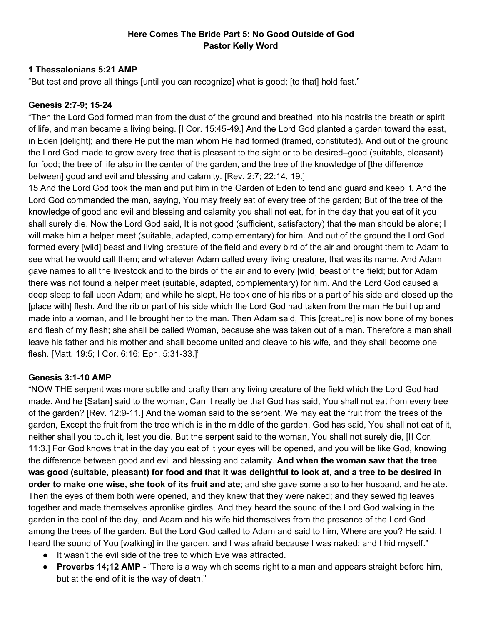## **Here Comes The Bride Part 5: No Good Outside of God Pastor Kelly Word**

## **1 Thessalonians 5:21 AMP**

"But test and prove all things [until you can recognize] what is good; [to that] hold fast."

# **Genesis 2:79; 1524**

"Then the Lord God formed man from the dust of the ground and breathed into his nostrils the breath or spirit of life, and man became a living being. [I Cor. 15:4549.] And the Lord God planted a garden toward the east, in Eden [delight]; and there He put the man whom He had formed (framed, constituted). And out of the ground the Lord God made to grow every tree that is pleasant to the sight or to be desired–good (suitable, pleasant) for food; the tree of life also in the center of the garden, and the tree of the knowledge of [the difference between] good and evil and blessing and calamity. [Rev. 2:7; 22:14, 19.]

15 And the Lord God took the man and put him in the Garden of Eden to tend and guard and keep it. And the Lord God commanded the man, saying, You may freely eat of every tree of the garden; But of the tree of the knowledge of good and evil and blessing and calamity you shall not eat, for in the day that you eat of it you shall surely die. Now the Lord God said, It is not good (sufficient, satisfactory) that the man should be alone; I will make him a helper meet (suitable, adapted, complementary) for him. And out of the ground the Lord God formed every [wild] beast and living creature of the field and every bird of the air and brought them to Adam to see what he would call them; and whatever Adam called every living creature, that was its name. And Adam gave names to all the livestock and to the birds of the air and to every [wild] beast of the field; but for Adam there was not found a helper meet (suitable, adapted, complementary) for him. And the Lord God caused a deep sleep to fall upon Adam; and while he slept, He took one of his ribs or a part of his side and closed up the [place with] flesh. And the rib or part of his side which the Lord God had taken from the man He built up and made into a woman, and He brought her to the man. Then Adam said, This [creature] is now bone of my bones and flesh of my flesh; she shall be called Woman, because she was taken out of a man. Therefore a man shall leave his father and his mother and shall become united and cleave to his wife, and they shall become one flesh. [Matt. 19:5; I Cor. 6:16; Eph. 5:31-33.]"

# **Genesis 3:110 AMP**

"NOW THE serpent was more subtle and crafty than any living creature of the field which the Lord God had made. And he [Satan] said to the woman, Can it really be that God has said, You shall not eat from every tree of the garden? [Rev. 12:911.] And the woman said to the serpent, We may eat the fruit from the trees of the garden, Except the fruit from the tree which is in the middle of the garden. God has said, You shall not eat of it, neither shall you touch it, lest you die. But the serpent said to the woman, You shall not surely die, [II Cor. 11:3.] For God knows that in the day you eat of it your eyes will be opened, and you will be like God, knowing the difference between good and evil and blessing and calamity. **And when the woman saw that the tree** was good (suitable, pleasant) for food and that it was delightful to look at, and a tree to be desired in **order to make one wise, she took of its fruit and ate**; and she gave some also to her husband, and he ate. Then the eyes of them both were opened, and they knew that they were naked; and they sewed fig leaves together and made themselves apronlike girdles. And they heard the sound of the Lord God walking in the garden in the cool of the day, and Adam and his wife hid themselves from the presence of the Lord God among the trees of the garden. But the Lord God called to Adam and said to him, Where are you? He said, I heard the sound of You [walking] in the garden, and I was afraid because I was naked; and I hid myself."

- It wasn't the evil side of the tree to which Eve was attracted.
- **● Proverbs 14;12 AMP** "There is a way which seems right to a man and appears straight before him, but at the end of it is the way of death."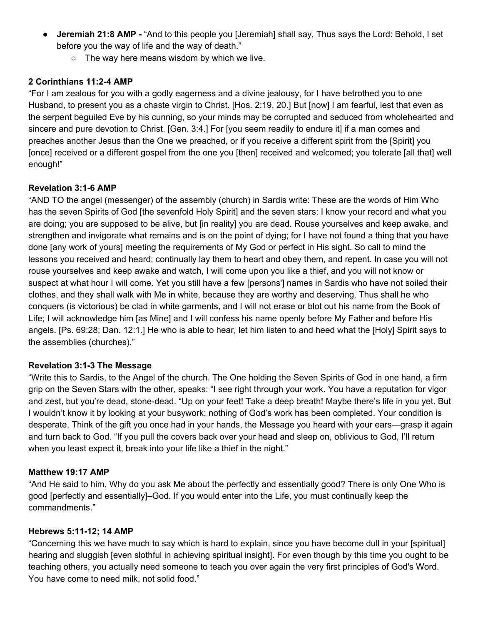- **● Jeremiah 21:8 AMP** "And to this people you [Jeremiah] shall say, Thus says the Lord: Behold, I set before you the way of life and the way of death."
	- The way here means wisdom by which we live.

# **2 Corinthians 11:24 AMP**

"For I am zealous for you with a godly eagerness and a divine jealousy, for I have betrothed you to one Husband, to present you as a chaste virgin to Christ. [Hos. 2:19, 20.] But [now] I am fearful, lest that even as the serpent beguiled Eve by his cunning, so your minds may be corrupted and seduced from wholehearted and sincere and pure devotion to Christ. [Gen. 3:4.] For [you seem readily to endure it] if a man comes and preaches another Jesus than the One we preached, or if you receive a different spirit from the [Spirit] you [once] received or a different gospel from the one you [then] received and welcomed; you tolerate [all that] well enough!"

### **Revelation 3:16 AMP**

"AND TO the angel (messenger) of the assembly (church) in Sardis write: These are the words of Him Who has the seven Spirits of God [the sevenfold Holy Spirit] and the seven stars: I know your record and what you are doing; you are supposed to be alive, but [in reality] you are dead. Rouse yourselves and keep awake, and strengthen and invigorate what remains and is on the point of dying; for I have not found a thing that you have done [any work of yours] meeting the requirements of My God or perfect in His sight. So call to mind the lessons you received and heard; continually lay them to heart and obey them, and repent. In case you will not rouse yourselves and keep awake and watch, I will come upon you like a thief, and you will not know or suspect at what hour I will come. Yet you still have a few [persons'] names in Sardis who have not soiled their clothes, and they shall walk with Me in white, because they are worthy and deserving. Thus shall he who conquers (is victorious) be clad in white garments, and I will not erase or blot out his name from the Book of Life; I will acknowledge him [as Mine] and I will confess his name openly before My Father and before His angels. [Ps. 69:28; Dan. 12:1.] He who is able to hear, let him listen to and heed what the [Holy] Spirit says to the assemblies (churches)."

### **Revelation 3:13 The Message**

"Write this to Sardis, to the Angel of the church. The One holding the Seven Spirits of God in one hand, a firm grip on the Seven Stars with the other, speaks: "I see right through your work. You have a reputation for vigor and zest, but you're dead, stone-dead. "Up on your feet! Take a deep breath! Maybe there's life in you yet. But I wouldn't know it by looking at your busywork; nothing of God's work has been completed. Your condition is desperate. Think of the gift you once had in your hands, the Message you heard with your ears—grasp it again and turn back to God. "If you pull the covers back over your head and sleep on, oblivious to God, I'll return when you least expect it, break into your life like a thief in the night."

### **Matthew 19:17 AMP**

"And He said to him, Why do you ask Me about the perfectly and essentially good? There is only One Who is good [perfectly and essentially]–God. If you would enter into the Life, you must continually keep the commandments."

### **Hebrews 5:1112; 14 AMP**

"Concerning this we have much to say which is hard to explain, since you have become dull in your [spiritual] hearing and sluggish [even slothful in achieving spiritual insight]. For even though by this time you ought to be teaching others, you actually need someone to teach you over again the very first principles of God's Word. You have come to need milk, not solid food."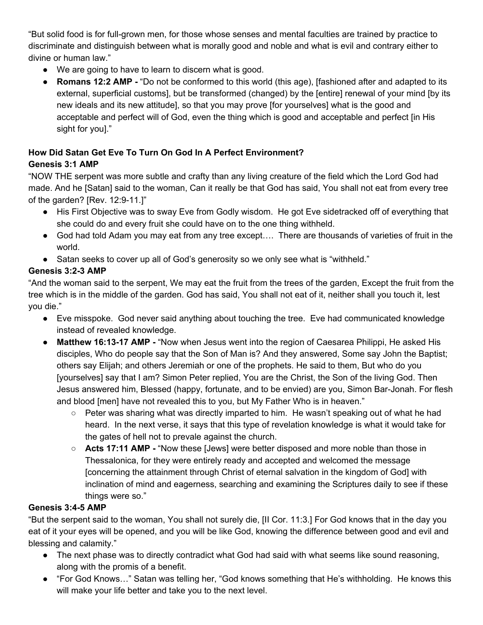"But solid food is for full-grown men, for those whose senses and mental faculties are trained by practice to discriminate and distinguish between what is morally good and noble and what is evil and contrary either to divine or human law."

- We are going to have to learn to discern what is good.
- **● Romans 12:2 AMP** "Do not be conformed to this world (this age), [fashioned after and adapted to its external, superficial customs], but be transformed (changed) by the [entire] renewal of your mind [by its new ideals and its new attitude], so that you may prove [for yourselves] what is the good and acceptable and perfect will of God, even the thing which is good and acceptable and perfect [in His sight for you]."

# **How Did Satan Get Eve To Turn On God In A Perfect Environment?**

# **Genesis 3:1 AMP**

"NOW THE serpent was more subtle and crafty than any living creature of the field which the Lord God had made. And he [Satan] said to the woman, Can it really be that God has said, You shall not eat from every tree of the garden? [Rev.  $12:9-11$ .]"

- His First Objective was to sway Eve from Godly wisdom. He got Eve sidetracked off of everything that she could do and every fruit she could have on to the one thing withheld.
- God had told Adam you may eat from any tree except.... There are thousands of varieties of fruit in the world.
- Satan seeks to cover up all of God's generosity so we only see what is "withheld."

# **Genesis 3:23 AMP**

"And the woman said to the serpent, We may eat the fruit from the trees of the garden, Except the fruit from the tree which is in the middle of the garden. God has said, You shall not eat of it, neither shall you touch it, lest you die."

- Eve misspoke. God never said anything about touching the tree. Eve had communicated knowledge instead of revealed knowledge.
- **● Matthew 16:1317 AMP** "Now when Jesus went into the region of Caesarea Philippi, He asked His disciples, Who do people say that the Son of Man is? And they answered, Some say John the Baptist; others say Elijah; and others Jeremiah or one of the prophets. He said to them, But who do you [yourselves] say that I am? Simon Peter replied, You are the Christ, the Son of the living God. Then Jesus answered him, Blessed (happy, fortunate, and to be envied) are you, Simon Bar-Jonah. For flesh and blood [men] have not revealed this to you, but My Father Who is in heaven."
	- $\circ$  Peter was sharing what was directly imparted to him. He wasn't speaking out of what he had heard. In the next verse, it says that this type of revelation knowledge is what it would take for the gates of hell not to prevale against the church.
	- **○ Acts 17:11 AMP** "Now these [Jews] were better disposed and more noble than those in Thessalonica, for they were entirely ready and accepted and welcomed the message [concerning the attainment through Christ of eternal salvation in the kingdom of God] with inclination of mind and eagerness, searching and examining the Scriptures daily to see if these things were so."

# **Genesis 3:45 AMP**

"But the serpent said to the woman, You shall not surely die, [II Cor. 11:3.] For God knows that in the day you eat of it your eyes will be opened, and you will be like God, knowing the difference between good and evil and blessing and calamity."

- The next phase was to directly contradict what God had said with what seems like sound reasoning, along with the promis of a benefit.
- "For God Knows..." Satan was telling her, "God knows something that He's withholding. He knows this will make your life better and take you to the next level.